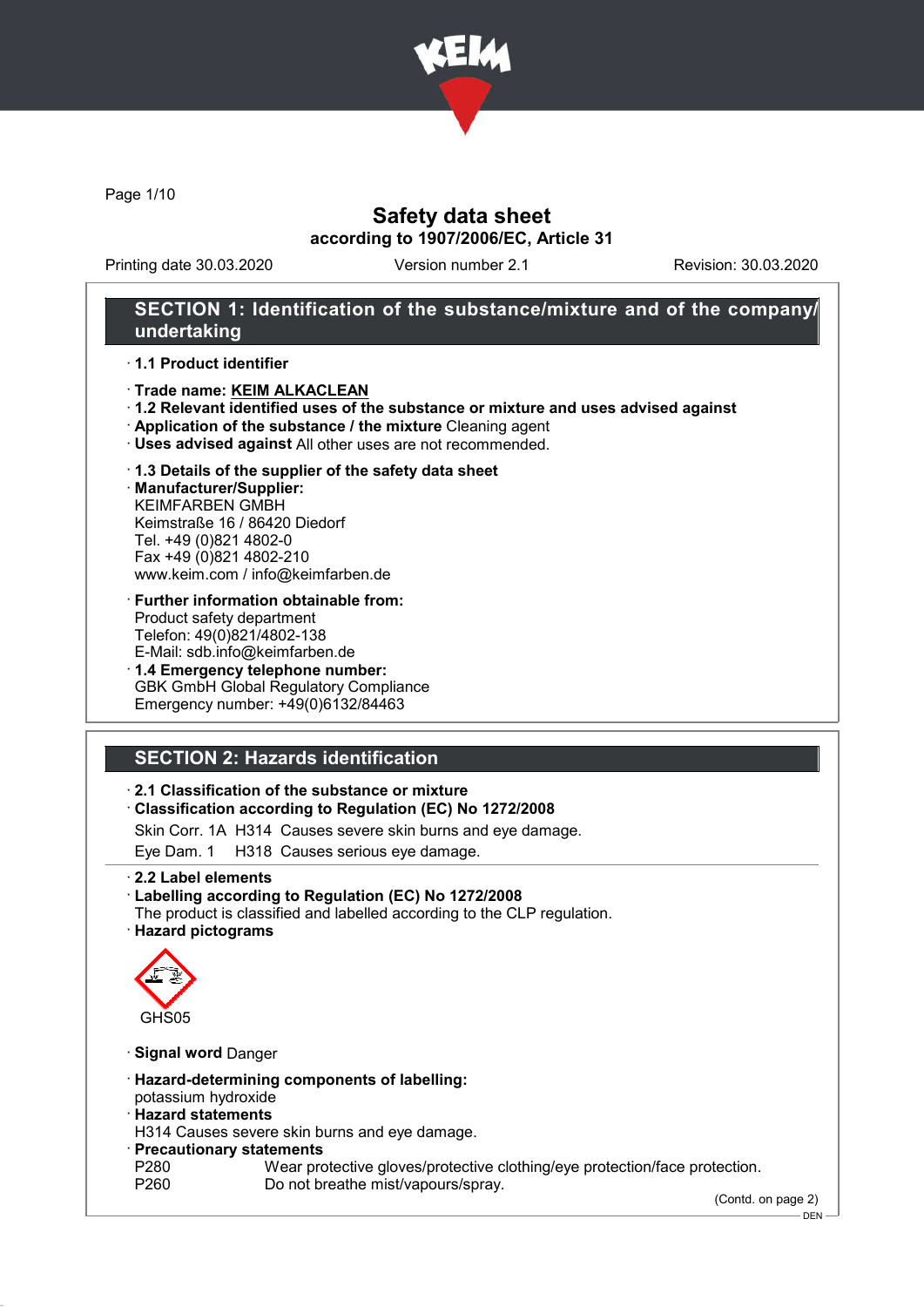

Page 1/10

## Safety data sheet according to 1907/2006/EC, Article 31

Printing date 30.03.2020 Version number 2.1 Revision: 30.03.2020

## SECTION 1: Identification of the substance/mixture and of the company/ undertaking

· 1.1 Product identifier

- · Trade name: KEIM ALKACLEAN
- · 1.2 Relevant identified uses of the substance or mixture and uses advised against
- · Application of the substance / the mixture Cleaning agent
- · Uses advised against All other uses are not recommended.

#### · 1.3 Details of the supplier of the safety data sheet

· Manufacturer/Supplier: KEIMFARBEN GMBH Keimstraße 16 / 86420 Diedorf Tel. +49 (0)821 4802-0 Fax +49 (0)821 4802-210 www.keim.com / info@keimfarben.de

- · Further information obtainable from: Product safety department Telefon: 49(0)821/4802-138 E-Mail: sdb.info@keimfarben.de
- · 1.4 Emergency telephone number: GBK GmbH Global Regulatory Compliance Emergency number: +49(0)6132/84463

# SECTION 2: Hazards identification

### · 2.1 Classification of the substance or mixture

· Classification according to Regulation (EC) No 1272/2008

Skin Corr. 1A H314 Causes severe skin burns and eye damage.

Eye Dam. 1 H318 Causes serious eye damage.

### · 2.2 Label elements

· Labelling according to Regulation (EC) No 1272/2008

The product is classified and labelled according to the CLP regulation. · Hazard pictograms



· Signal word Danger

- · Hazard-determining components of labelling:
- potassium hydroxide

### · Hazard statements

H314 Causes severe skin burns and eye damage.

- · Precautionary statements
- P280 Wear protective gloves/protective clothing/eye protection/face protection.<br>P260 Do not breathe mist/vapours/sprav. Do not breathe mist/vapours/spray.

(Contd. on page 2)

DEN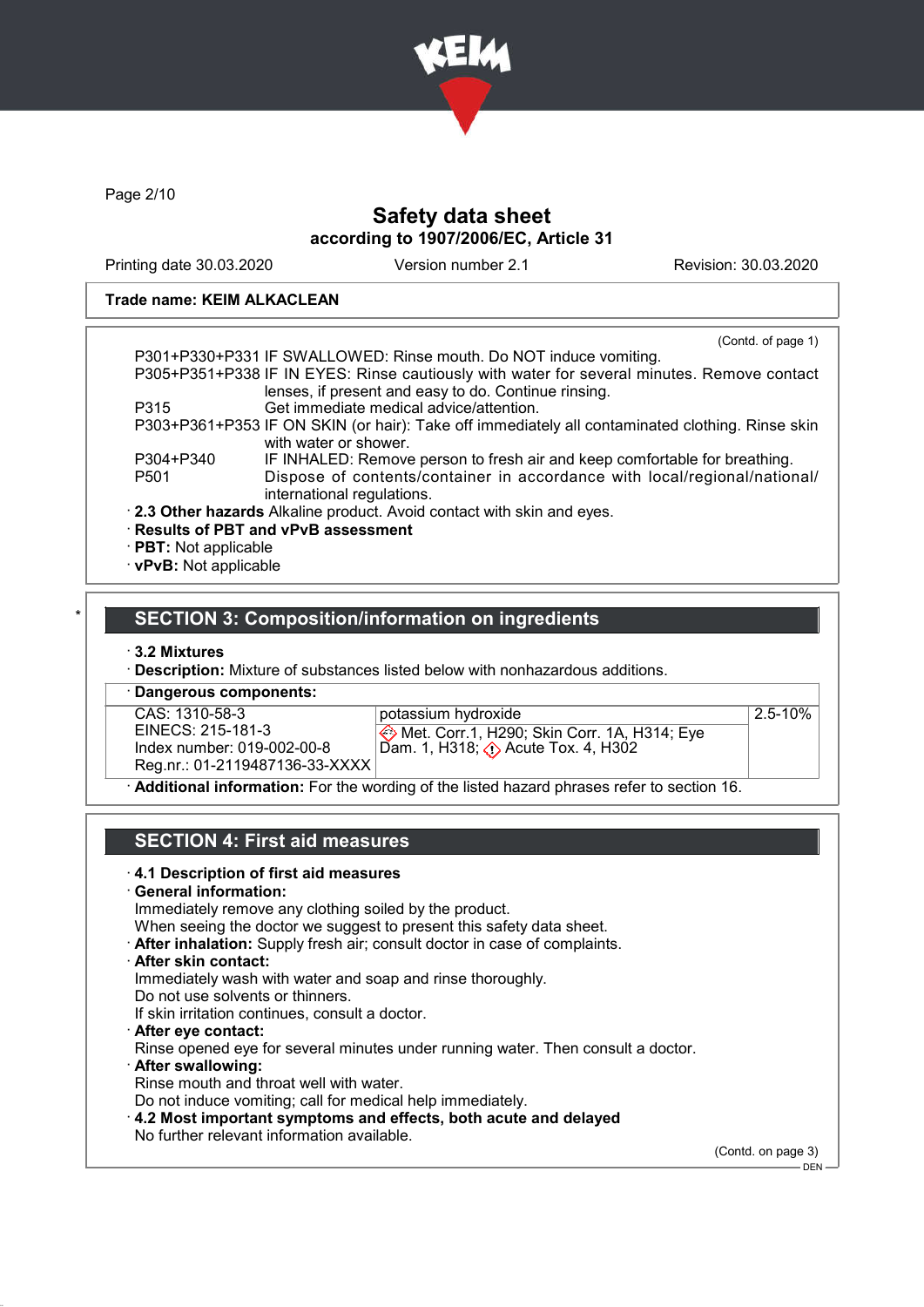

Page 2/10

### Safety data sheet according to 1907/2006/EC, Article 31

Printing date 30.03.2020 Version number 2.1 Revision: 30.03.2020

#### Trade name: KEIM ALKACLEAN

|                             | (Contd. of page 1)                                                                                                                                 |
|-----------------------------|----------------------------------------------------------------------------------------------------------------------------------------------------|
|                             | P301+P330+P331 IF SWALLOWED: Rinse mouth. Do NOT induce vomiting.                                                                                  |
|                             | P305+P351+P338 IF IN EYES: Rinse cautiously with water for several minutes. Remove contact<br>lenses, if present and easy to do. Continue rinsing. |
| P315                        | Get immediate medical advice/attention.                                                                                                            |
|                             | P303+P361+P353 IF ON SKIN (or hair): Take off immediately all contaminated clothing. Rinse skin<br>with water or shower.                           |
| P304+P340                   | IF INHALED: Remove person to fresh air and keep comfortable for breathing.                                                                         |
| P <sub>501</sub>            | Dispose of contents/container in accordance with local/regional/national/<br>international regulations.                                            |
|                             | . 2.3 Other hazards Alkaline product. Avoid contact with skin and eyes.                                                                            |
|                             | · Results of PBT and vPvB assessment                                                                                                               |
| $\cdot$ PBT: Not applicable |                                                                                                                                                    |
| · vPvB: Not applicable      |                                                                                                                                                    |

### **SECTION 3: Composition/information on ingredients**

- · 3.2 Mixtures
- · Description: Mixture of substances listed below with nonhazardous additions.

· Dangerous components: CAS: 1310-58-3 EINECS: 215-181-3 Index number: 019-002-00-8 Reg.nr.: 01-2119487136-33-XXXX

potassium hydroxide

Met. Corr.1, H290; Skin Corr. 1A, H314; Eye Dam. 1, H318; (1) Acute Tox. 4, H302

2.5-10%

Additional information: For the wording of the listed hazard phrases refer to section 16.

### SECTION 4: First aid measures

#### · 4.1 Description of first aid measures

· General information:

Immediately remove any clothing soiled by the product.

When seeing the doctor we suggest to present this safety data sheet.

- · After inhalation: Supply fresh air; consult doctor in case of complaints.
- · After skin contact:

Immediately wash with water and soap and rinse thoroughly.

Do not use solvents or thinners.

If skin irritation continues, consult a doctor.

· After eye contact:

Rinse opened eye for several minutes under running water. Then consult a doctor.

· After swallowing:

Rinse mouth and throat well with water.

Do not induce vomiting; call for medical help immediately.

· 4.2 Most important symptoms and effects, both acute and delayed

No further relevant information available.

(Contd. on page 3)

DEN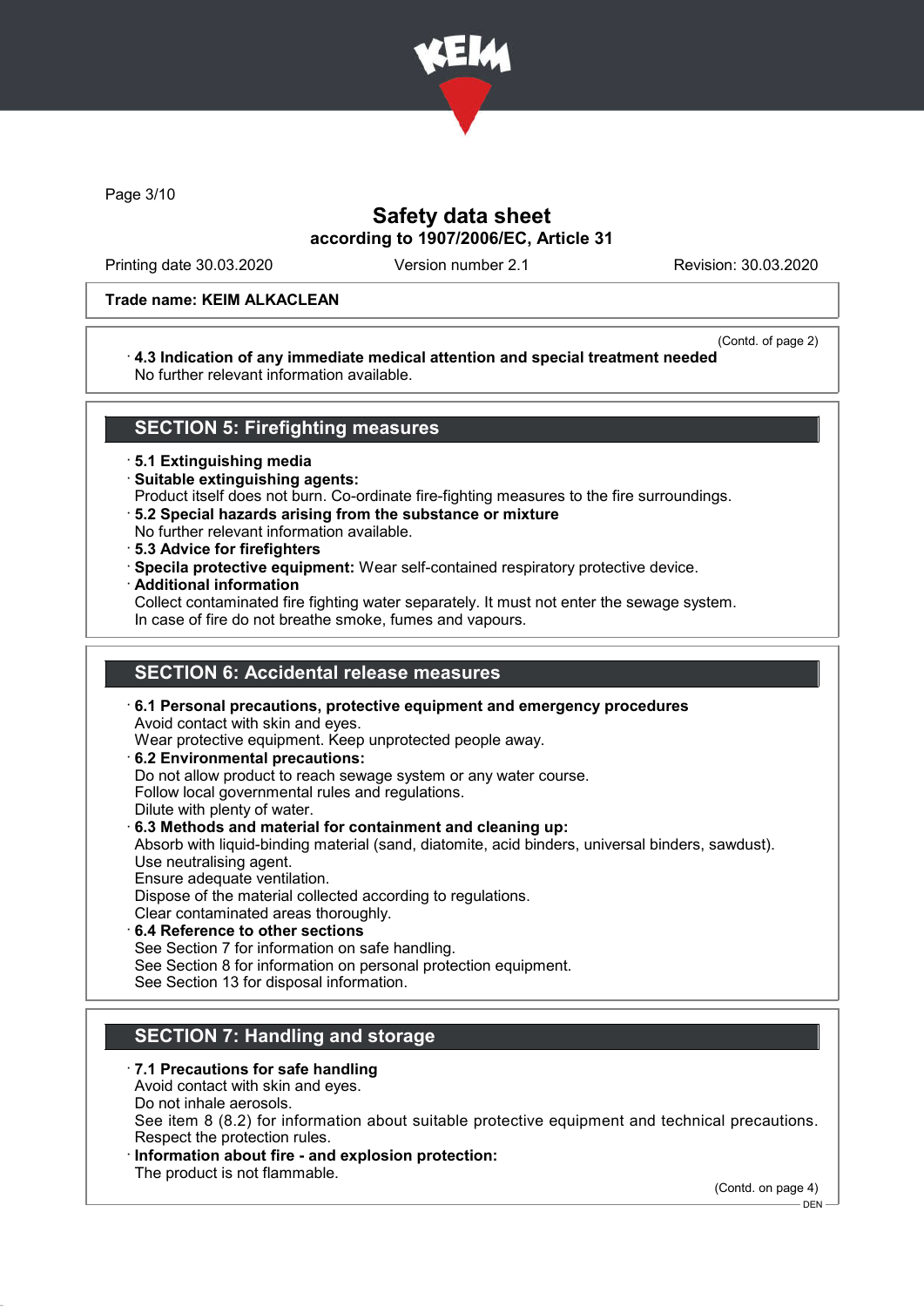

Page 3/10

## Safety data sheet according to 1907/2006/EC, Article 31

Printing date 30.03.2020 Version number 2.1 Revision: 30.03.2020

#### Trade name: KEIM ALKACLEAN

(Contd. of page 2)

#### · 4.3 Indication of any immediate medical attention and special treatment needed No further relevant information available.

### SECTION 5: Firefighting measures

· 5.1 Extinguishing media

- · Suitable extinguishing agents:
- Product itself does not burn. Co-ordinate fire-fighting measures to the fire surroundings.
- · 5.2 Special hazards arising from the substance or mixture
- No further relevant information available.
- · 5.3 Advice for firefighters
- · Specila protective equipment: Wear self-contained respiratory protective device.
- · Additional information

Collect contaminated fire fighting water separately. It must not enter the sewage system. In case of fire do not breathe smoke, fumes and vapours.

# SECTION 6: Accidental release measures

- · 6.1 Personal precautions, protective equipment and emergency procedures Avoid contact with skin and eyes. Wear protective equipment. Keep unprotected people away.
- · 6.2 Environmental precautions:
- Do not allow product to reach sewage system or any water course. Follow local governmental rules and regulations.
- Dilute with plenty of water.
- · 6.3 Methods and material for containment and cleaning up:

Absorb with liquid-binding material (sand, diatomite, acid binders, universal binders, sawdust). Use neutralising agent.

Ensure adequate ventilation.

Dispose of the material collected according to regulations. Clear contaminated areas thoroughly.

6.4 Reference to other sections See Section 7 for information on safe handling. See Section 8 for information on personal protection equipment. See Section 13 for disposal information.

# SECTION 7: Handling and storage

- · 7.1 Precautions for safe handling
- Avoid contact with skin and eyes. Do not inhale aerosols.

See item 8 (8.2) for information about suitable protective equipment and technical precautions. Respect the protection rules.

Information about fire - and explosion protection:

The product is not flammable.

(Contd. on page 4)

<sup>-</sup> DEN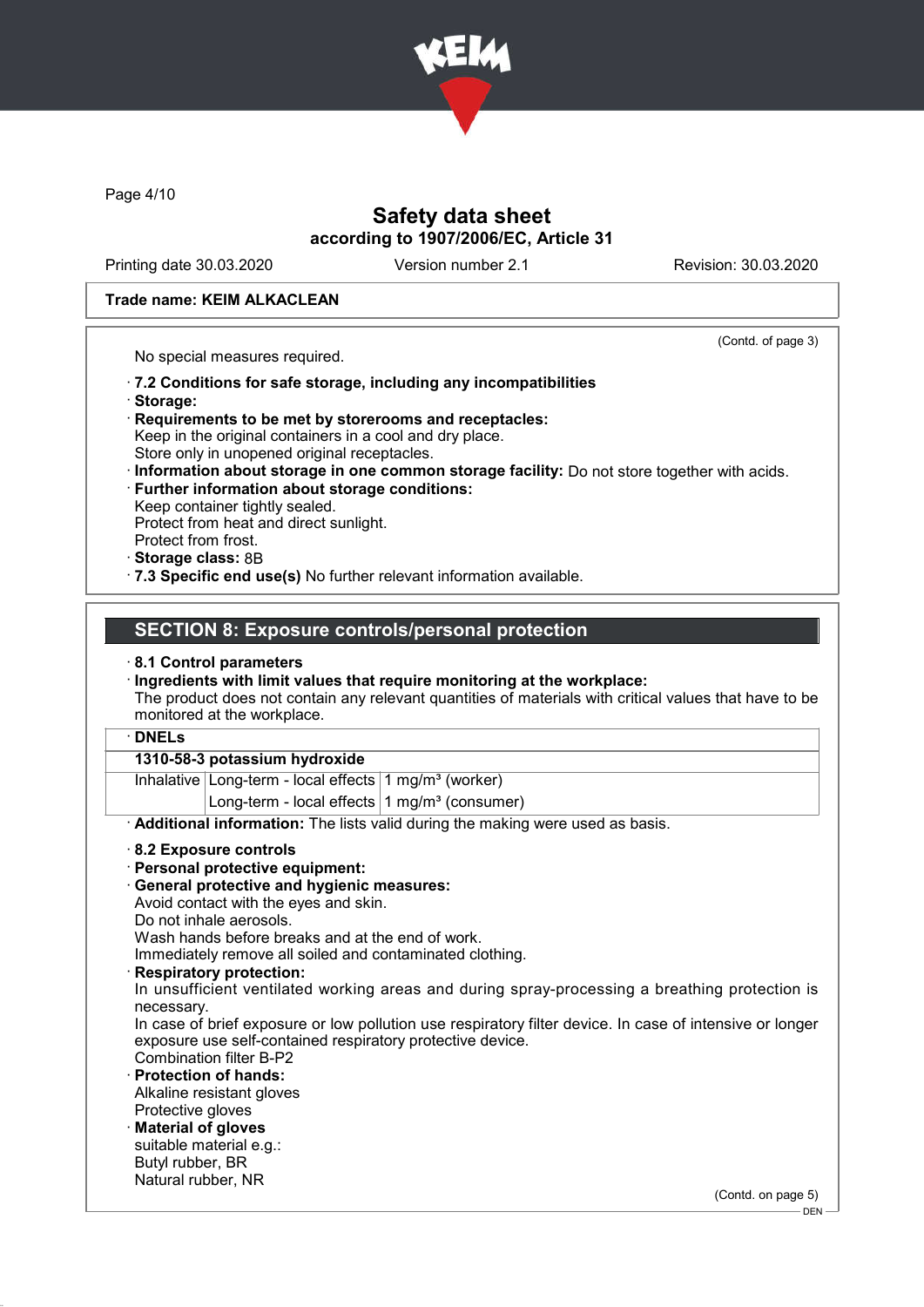

Page 4/10

## Safety data sheet according to 1907/2006/EC, Article 31

Printing date 30.03.2020 Version number 2.1 Revision: 30.03.2020

(Contd. of page 3)

#### Trade name: KEIM ALKACLEAN

No special measures required.

· 7.2 Conditions for safe storage, including any incompatibilities

- · Storage:
- · Requirements to be met by storerooms and receptacles: Keep in the original containers in a cool and dry place.
- Store only in unopened original receptacles.
- · Information about storage in one common storage facility: Do not store together with acids. · Further information about storage conditions:
- Keep container tightly sealed. Protect from heat and direct sunlight.
- Protect from frost.
- · Storage class: 8B
- · 7.3 Specific end use(s) No further relevant information available.

### SECTION 8: Exposure controls/personal protection

#### · 8.1 Control parameters

· Ingredients with limit values that require monitoring at the workplace:

The product does not contain any relevant quantities of materials with critical values that have to be monitored at the workplace.

### · DNELs

### 1310-58-3 potassium hydroxide

Inhalative Long-term - local effects 1 mg/m<sup>3</sup> (worker) Long-term - local effects  $1$  mg/m<sup>3</sup> (consumer)

· Additional information: The lists valid during the making were used as basis.

#### · 8.2 Exposure controls

- · Personal protective equipment:
- · General protective and hygienic measures:
- Avoid contact with the eyes and skin.
- Do not inhale aerosols.

Wash hands before breaks and at the end of work.

Immediately remove all soiled and contaminated clothing.

Respiratory protection:

In unsufficient ventilated working areas and during spray-processing a breathing protection is necessary.

In case of brief exposure or low pollution use respiratory filter device. In case of intensive or longer exposure use self-contained respiratory protective device.

Combination filter B-P2 Protection of hands:

Alkaline resistant gloves Protective gloves

· Material of gloves suitable material e.g.: Butyl rubber, BR

Natural rubber, NR

(Contd. on page 5)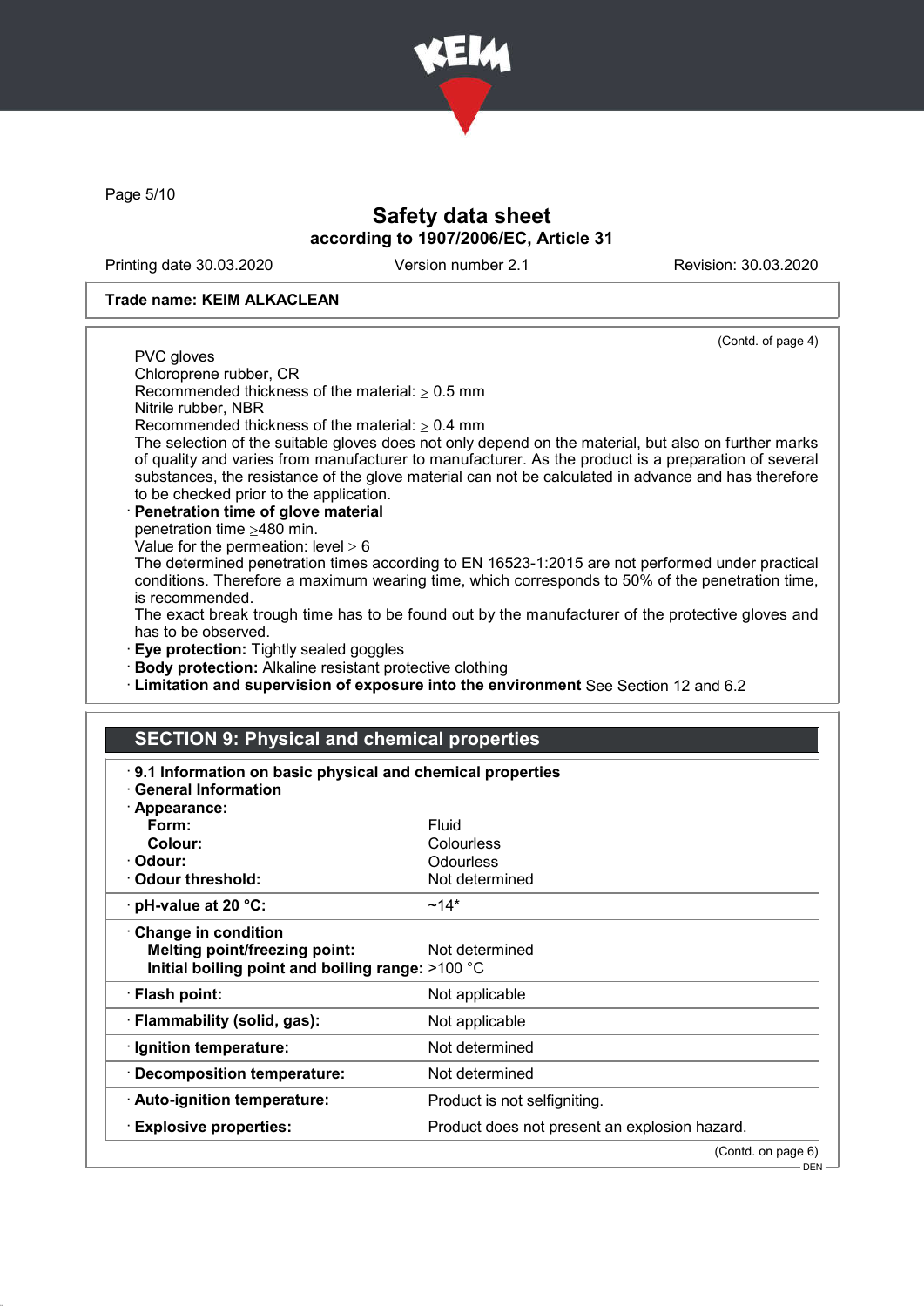

Page 5/10

# Safety data sheet according to 1907/2006/EC, Article 31

Printing date 30.03.2020 Version number 2.1 Revision: 30.03.2020

#### Trade name: KEIM ALKACLEAN

(Contd. of page 4)

PVC gloves Chloroprene rubber, CR

Recommended thickness of the material:  $\geq 0.5$  mm

Nitrile rubber, NBR

Recommended thickness of the material:  $\geq 0.4$  mm

The selection of the suitable gloves does not only depend on the material, but also on further marks of quality and varies from manufacturer to manufacturer. As the product is a preparation of several substances, the resistance of the glove material can not be calculated in advance and has therefore to be checked prior to the application.

Penetration time of glove material

penetration time  $\geq$ 480 min.

Value for the permeation: level  $> 6$ 

The determined penetration times according to EN 16523-1:2015 are not performed under practical conditions. Therefore a maximum wearing time, which corresponds to 50% of the penetration time, is recommended.

The exact break trough time has to be found out by the manufacturer of the protective gloves and has to be observed.

**Eye protection:** Tightly sealed goggles

· Body protection: Alkaline resistant protective clothing

· Limitation and supervision of exposure into the environment See Section 12 and 6.2

# SECTION 9: Physical and chemical properties

| 9.1 Information on basic physical and chemical properties<br>· General Information                       |                                               |
|----------------------------------------------------------------------------------------------------------|-----------------------------------------------|
| · Appearance:                                                                                            |                                               |
| Form:                                                                                                    | Fluid                                         |
| Colour:                                                                                                  | Colourless                                    |
| · Odour:                                                                                                 | <b>Odourless</b>                              |
| Odour threshold:                                                                                         | Not determined                                |
| $\cdot$ pH-value at 20 °C:                                                                               | $~14*$                                        |
| Change in condition<br>Melting point/freezing point:<br>Initial boiling point and boiling range: >100 °C | Not determined                                |
| · Flash point:                                                                                           | Not applicable                                |
| · Flammability (solid, gas):                                                                             | Not applicable                                |
| · Ignition temperature:                                                                                  | Not determined                                |
| · Decomposition temperature:                                                                             | Not determined                                |
| · Auto-ignition temperature:                                                                             | Product is not selfigniting.                  |
| $\cdot$ Explosive properties:                                                                            | Product does not present an explosion hazard. |
|                                                                                                          | (Contd. on page 6)                            |

DEN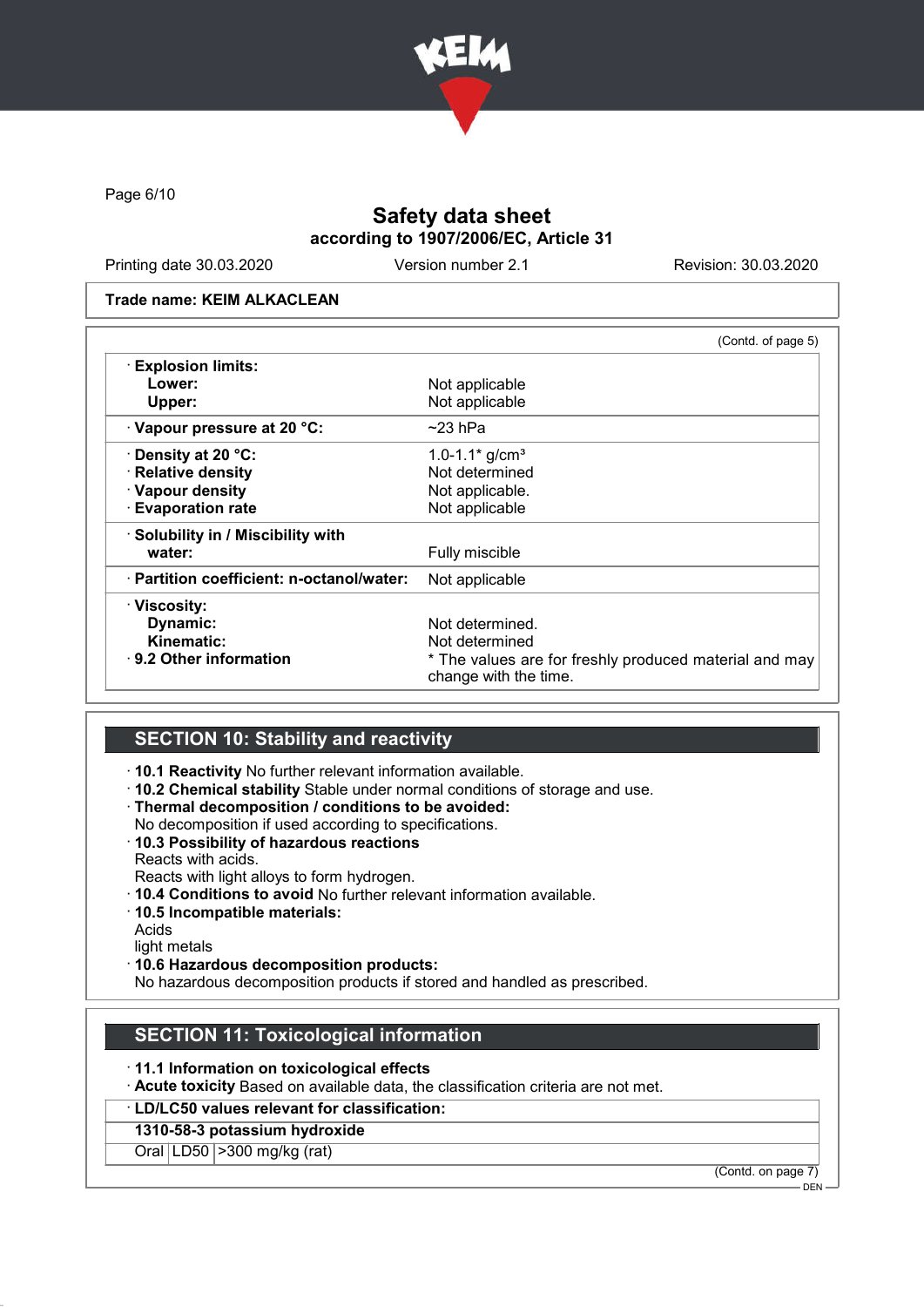

Page 6/10

# Safety data sheet according to 1907/2006/EC, Article 31

Printing date 30.03.2020 Version number 2.1 Revision: 30.03.2020

#### Trade name: KEIM ALKACLEAN

|                                           | (Contd. of page 5)                                                              |
|-------------------------------------------|---------------------------------------------------------------------------------|
| <b>Explosion limits:</b>                  |                                                                                 |
| Lower:                                    | Not applicable                                                                  |
| Upper:                                    | Not applicable                                                                  |
| · Vapour pressure at 20 °C:               | $~23$ hPa                                                                       |
| · Density at 20 °C:                       | 1.0-1.1 $*$ g/cm <sup>3</sup>                                                   |
| · Relative density                        | Not determined                                                                  |
| · Vapour density                          | Not applicable.                                                                 |
| <b>Evaporation rate</b>                   | Not applicable                                                                  |
| · Solubility in / Miscibility with        |                                                                                 |
| water:                                    | Fully miscible                                                                  |
| · Partition coefficient: n-octanol/water: | Not applicable                                                                  |
| · Viscosity:                              |                                                                                 |
| Dynamic:                                  | Not determined.                                                                 |
| Kinematic:                                | Not determined                                                                  |
| $\cdot$ 9.2 Other information             | * The values are for freshly produced material and may<br>change with the time. |

# SECTION 10: Stability and reactivity

· 10.1 Reactivity No further relevant information available.

· 10.2 Chemical stability Stable under normal conditions of storage and use.

- · Thermal decomposition / conditions to be avoided:
- No decomposition if used according to specifications.
- · 10.3 Possibility of hazardous reactions Reacts with acids.

Reacts with light alloys to form hydrogen.

- · 10.4 Conditions to avoid No further relevant information available.
- · 10.5 Incompatible materials:

Acids

light metals

· 10.6 Hazardous decomposition products:

No hazardous decomposition products if stored and handled as prescribed.

# SECTION 11: Toxicological information

· 11.1 Information on toxicological effects

· Acute toxicity Based on available data, the classification criteria are not met.

· LD/LC50 values relevant for classification:

### 1310-58-3 potassium hydroxide

Oral LD50 >300 mg/kg (rat)

(Contd. on page 7)

DEN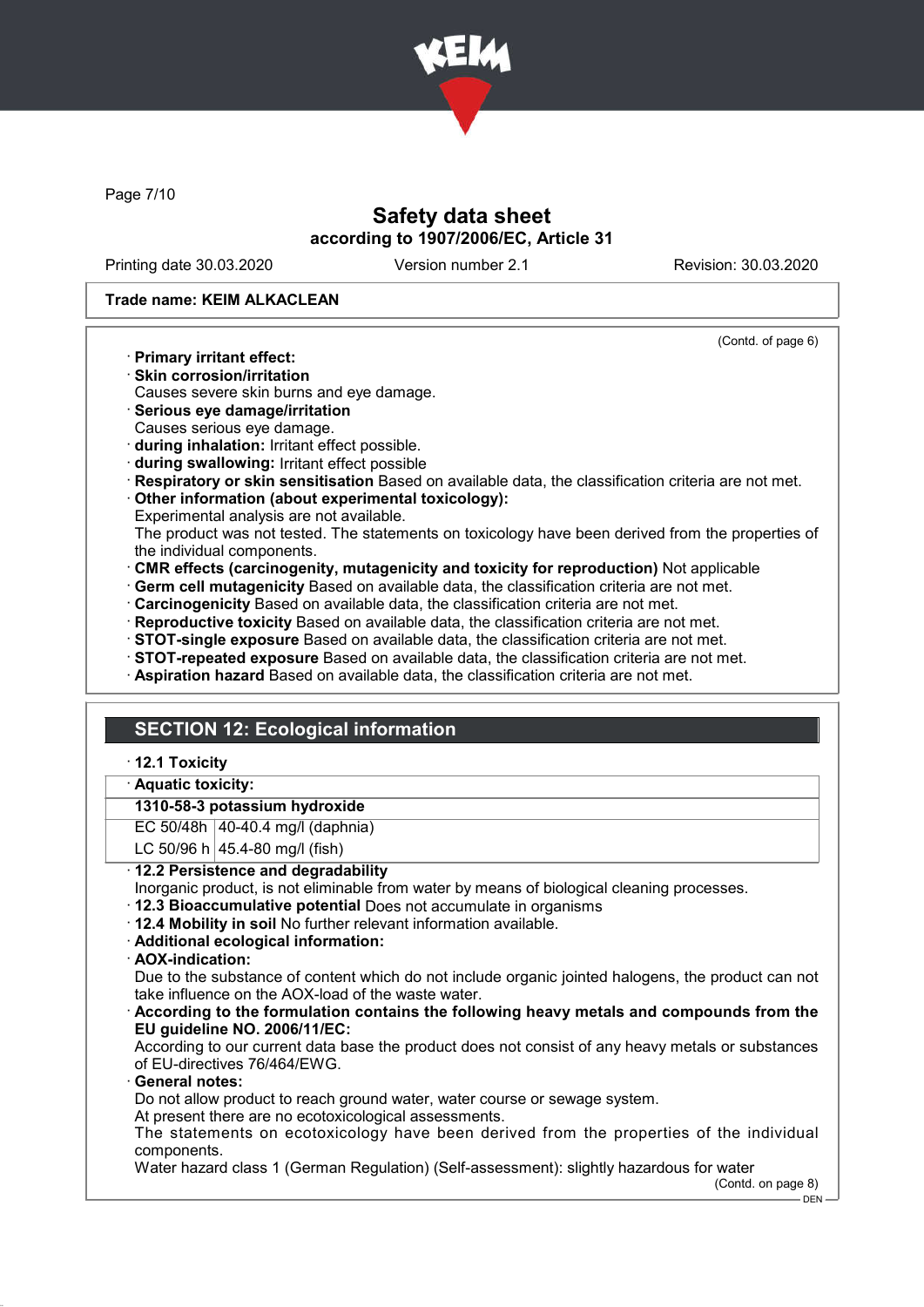

Page 7/10

## Safety data sheet according to 1907/2006/EC, Article 31

Printing date 30.03.2020 Version number 2.1 Revision: 30.03.2020

(Contd. of page 6)

#### Trade name: KEIM ALKACLEAN

- · Primary irritant effect:
- · Skin corrosion/irritation

Causes severe skin burns and eye damage.

- · Serious eye damage/irritation
- Causes serious eye damage.
- · during inhalation: Irritant effect possible.
- · during swallowing: Irritant effect possible
- · Respiratory or skin sensitisation Based on available data, the classification criteria are not met.
- · Other information (about experimental toxicology):
- Experimental analysis are not available.
- The product was not tested. The statements on toxicology have been derived from the properties of the individual components.
- · CMR effects (carcinogenity, mutagenicity and toxicity for reproduction) Not applicable
- · Germ cell mutagenicity Based on available data, the classification criteria are not met.
- · Carcinogenicity Based on available data, the classification criteria are not met.
- · Reproductive toxicity Based on available data, the classification criteria are not met.
- · STOT-single exposure Based on available data, the classification criteria are not met.
- · STOT-repeated exposure Based on available data, the classification criteria are not met.
- · Aspiration hazard Based on available data, the classification criteria are not met.

# SECTION 12: Ecological information

### · 12.1 Toxicity

#### Aquatic toxicity:

### 1310-58-3 potassium hydroxide

EC 50/48h 40-40.4 mg/l (daphnia)

LC 50/96 h  $|45.4 - 80$  mg/l (fish)

### · 12.2 Persistence and degradability

- Inorganic product, is not eliminable from water by means of biological cleaning processes.
- · 12.3 Bioaccumulative potential Does not accumulate in organisms
- · 12.4 Mobility in soil No further relevant information available.
- · Additional ecological information:
- · AOX-indication:

Due to the substance of content which do not include organic jointed halogens, the product can not take influence on the AOX-load of the waste water.

· According to the formulation contains the following heavy metals and compounds from the EU guideline NO. 2006/11/EC:

According to our current data base the product does not consist of any heavy metals or substances of EU-directives 76/464/EWG.

General notes:

Do not allow product to reach ground water, water course or sewage system.

At present there are no ecotoxicological assessments.

The statements on ecotoxicology have been derived from the properties of the individual components.

Water hazard class 1 (German Regulation) (Self-assessment): slightly hazardous for water

(Contd. on page 8)

<sup>-</sup> DEN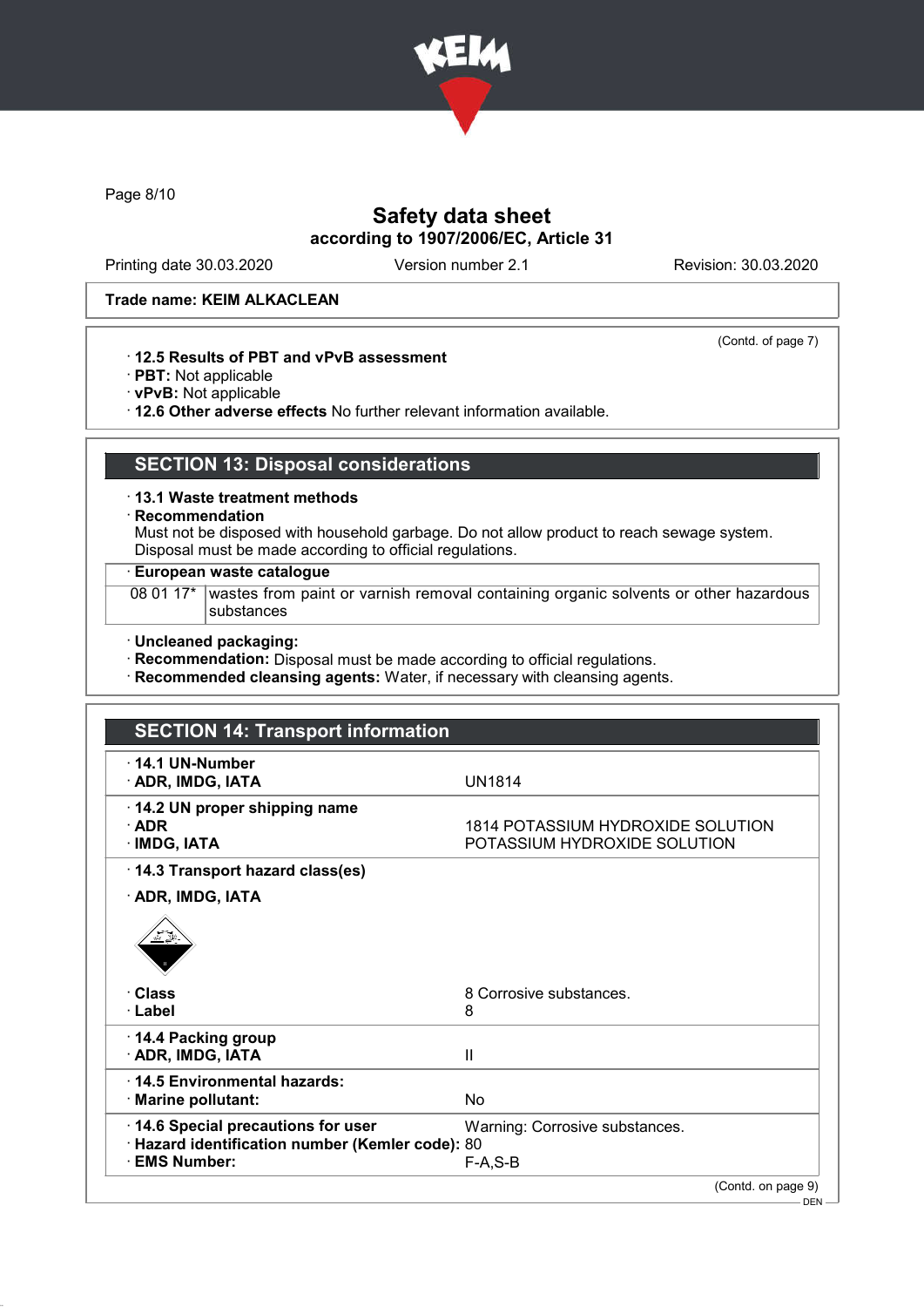

Page 8/10

# Safety data sheet according to 1907/2006/EC, Article 31

Printing date 30.03.2020 Version number 2.1 Revision: 30.03.2020

(Contd. of page 7)

#### Trade name: KEIM ALKACLEAN

### · 12.5 Results of PBT and vPvB assessment

- · PBT: Not applicable
- · vPvB: Not applicable
- · 12.6 Other adverse effects No further relevant information available.

# SECTION 13: Disposal considerations

· 13.1 Waste treatment methods

· Recommendation

Must not be disposed with household garbage. Do not allow product to reach sewage system. Disposal must be made according to official regulations.

### · European waste catalogue

08 01 17\* wastes from paint or varnish removal containing organic solvents or other hazardous substances

#### · Uncleaned packaging:

· Recommendation: Disposal must be made according to official regulations.

· Recommended cleansing agents: Water, if necessary with cleansing agents.

| <b>SECTION 14: Transport information</b>                                                               |                                                                   |  |
|--------------------------------------------------------------------------------------------------------|-------------------------------------------------------------------|--|
| 14.1 UN-Number<br>· ADR, IMDG, IATA                                                                    | <b>UN1814</b>                                                     |  |
| 14.2 UN proper shipping name<br>$\cdot$ ADR<br>$\cdot$ IMDG, IATA                                      | 1814 POTASSIUM HYDROXIDE SOLUTION<br>POTASSIUM HYDROXIDE SOLUTION |  |
| 14.3 Transport hazard class(es)                                                                        |                                                                   |  |
| · ADR, IMDG, IATA                                                                                      |                                                                   |  |
|                                                                                                        |                                                                   |  |
| · Class<br>· Label                                                                                     | 8 Corrosive substances.<br>8                                      |  |
|                                                                                                        |                                                                   |  |
| 14.4 Packing group<br>· ADR, IMDG, IATA                                                                | $\mathbf{I}$                                                      |  |
| 14.5 Environmental hazards:<br>· Marine pollutant:                                                     | No                                                                |  |
| 14.6 Special precautions for user<br>· Hazard identification number (Kemler code): 80<br>· EMS Number: | Warning: Corrosive substances.<br>$F-A, S-B$                      |  |
|                                                                                                        | (Contd. on page 9)                                                |  |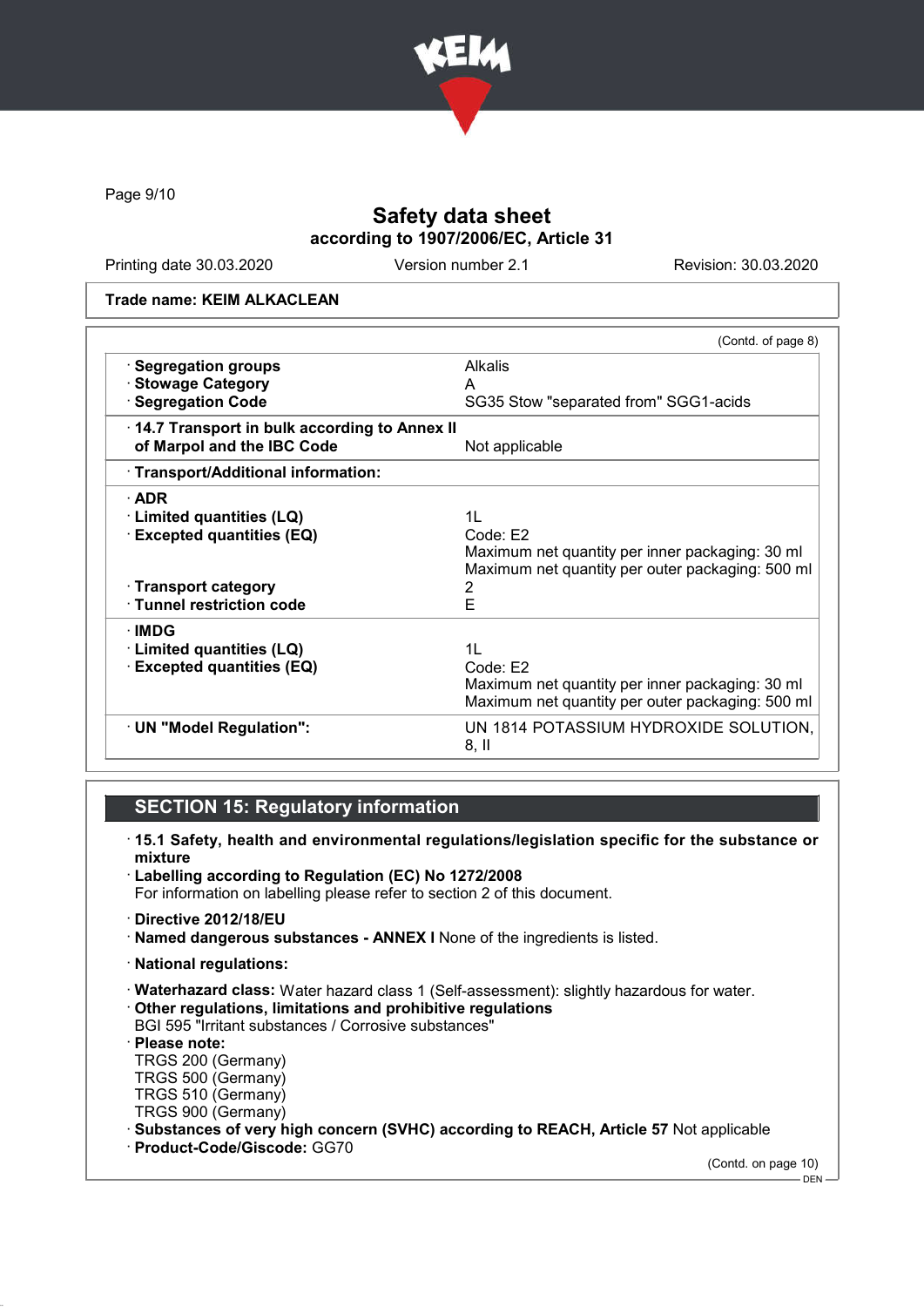

Page 9/10

# Safety data sheet according to 1907/2006/EC, Article 31

Printing date 30.03.2020 Version number 2.1 Revision: 30.03.2020

#### Trade name: KEIM ALKACLEAN

|                                              | (Contd. of page 8)                               |
|----------------------------------------------|--------------------------------------------------|
| · Segregation groups                         | <b>Alkalis</b>                                   |
| · Stowage Category                           | A                                                |
| · Segregation Code                           | SG35 Stow "separated from" SGG1-acids            |
| 14.7 Transport in bulk according to Annex II |                                                  |
| of Marpol and the IBC Code                   | Not applicable                                   |
| · Transport/Additional information:          |                                                  |
| $\cdot$ ADR                                  |                                                  |
| · Limited quantities (LQ)                    | 11                                               |
| <b>Excepted quantities (EQ)</b>              | Code: E2                                         |
|                                              | Maximum net quantity per inner packaging: 30 ml  |
|                                              | Maximum net quantity per outer packaging: 500 ml |
| · Transport category                         | 2                                                |
| · Tunnel restriction code                    | E                                                |
| ∙IMDG                                        |                                                  |
| <b>Limited quantities (LQ)</b>               | 11                                               |
| <b>Excepted quantities (EQ)</b>              | Code: E2                                         |
|                                              | Maximum net quantity per inner packaging: 30 ml  |
|                                              | Maximum net quantity per outer packaging: 500 ml |
| · UN "Model Regulation":                     | UN 1814 POTASSIUM HYDROXIDE SOLUTION,<br>$8,$ II |

# SECTION 15: Regulatory information

- · 15.1 Safety, health and environmental regulations/legislation specific for the substance or mixture
- · Labelling according to Regulation (EC) No 1272/2008 For information on labelling please refer to section 2 of this document.
- · Directive 2012/18/EU
- · Named dangerous substances ANNEX I None of the ingredients is listed.
- · National regulations:
- · Waterhazard class: Water hazard class 1 (Self-assessment): slightly hazardous for water. · Other regulations, limitations and prohibitive regulations
- BGI 595 "Irritant substances / Corrosive substances"
- · Please note:
- TRGS 200 (Germany)
- TRGS 500 (Germany)
- TRGS 510 (Germany)
- TRGS 900 (Germany)
- · Substances of very high concern (SVHC) according to REACH, Article 57 Not applicable
- · Product-Code/Giscode: GG70

(Contd. on page 10)